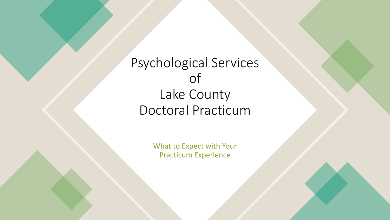# Psychological Services of Lake County Doctoral Practicum

What to Expect with Your Practicum Experience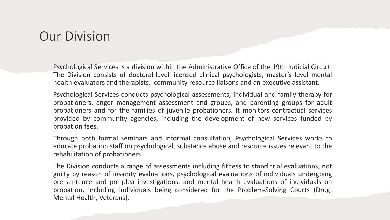#### Our Division

Psychological Services is a division within the Administrative Office of the 19th Judicial Circuit. The Division consists of doctoral-level licensed clinical psychologists, master's level mental health evaluators and therapists, community resource liaisons and an executive assistant.

Psychological Services conducts psychological assessments, individual and family therapy for probationers, anger management assessment and groups, and parenting groups for adult probationers and for the families of juvenile probationers. It monitors contractual services provided by community agencies, including the development of new services funded by probation fees.

Through both formal seminars and informal consultation, Psychological Services works to educate probation staff on psychological, substance abuse and resource issues relevant to the rehabilitation of probationers.

The Division conducts a range of assessments including fitness to stand trial evaluations, not guilty by reason of insanity evaluations, psychological evaluations of individuals undergoing pre-sentence and pre-plea investigations, and mental health evaluations of individuals on probation, including individuals being considered for the Problem-Solving Courts (Drug, Mental Health, Veterans).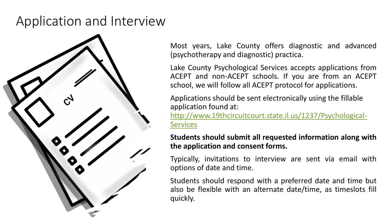# Application and Interview



Most years, Lake County offers diagnostic and advanced (psychotherapy and diagnostic) practica.

Lake County Psychological Services accepts applications from ACEPT and non-ACEPT schools. If you are from an ACEPT school, we will follow all ACEPT protocol for applications.

Applications should be sent electronically using the fillable application found at:

[http://www.19thcircuitcourt.state.il.us/1237/Psychological-](http://www.19thcircuitcourt.state.il.us/1237/Psychological-Services)**Services** 

**Students should submit all requested information along with the application and consent forms.**

Typically, invitations to interview are sent via email with options of date and time.

Students should respond with a preferred date and time but also be flexible with an alternate date/time, as timeslots fill quickly.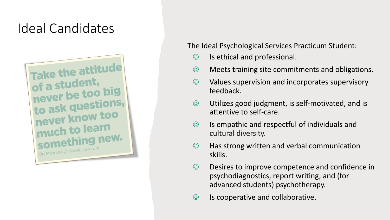# Ideal Candidates



The Ideal Psychological Services Practicum Student:

- ☺ Is ethical and professional.
- ☺ Meets training site commitments and obligations.
- ☺ Values supervision and incorporates supervisory feedback.
- ☺ Utilizes good judgment, is self-motivated, and is attentive to self-care.
- $\heartsuit$  Is empathic and respectful of individuals and cultural diversity.
- ☺ Has strong written and verbal communication skills.
- ☺ Desires to improve competence and confidence in psychodiagnostics, report writing, and (for advanced students) psychotherapy.
- ☺ Is cooperative and collaborative.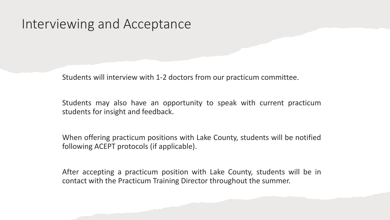#### Interviewing and Acceptance

Students will interview with 1-2 doctors from our practicum committee.

Students may also have an opportunity to speak with current practicum students for insight and feedback.

When offering practicum positions with Lake County, students will be notified following ACEPT protocols (if applicable).

After accepting a practicum position with Lake County, students will be in contact with the Practicum Training Director throughout the summer.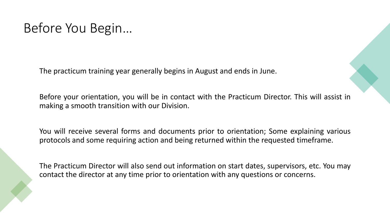# Before You Begin…

The practicum training year generally begins in August and ends in June.

Before your orientation, you will be in contact with the Practicum Director. This will assist in making a smooth transition with our Division.

You will receive several forms and documents prior to orientation; Some explaining various protocols and some requiring action and being returned within the requested timeframe.

The Practicum Director will also send out information on start dates, supervisors, etc. You may contact the director at any time prior to orientation with any questions or concerns.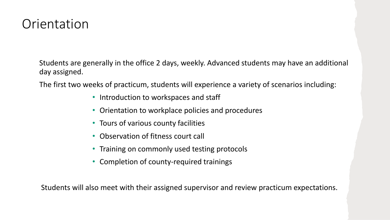### **Orientation**

Students are generally in the office 2 days, weekly. Advanced students may have an additional day assigned.

The first two weeks of practicum, students will experience a variety of scenarios including:

- Introduction to workspaces and staff
- Orientation to workplace policies and procedures
- Tours of various county facilities
- Observation of fitness court call
- Training on commonly used testing protocols
- Completion of county-required trainings

Students will also meet with their assigned supervisor and review practicum expectations.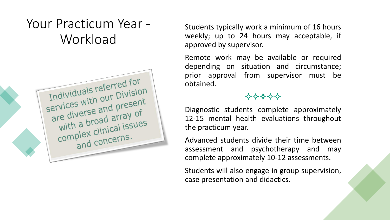# Your Practicum Year - **Workload**



Students typically work a minimum of 16 hours weekly; up to 24 hours may acceptable, if approved by supervisor.

Remote work may be available or required depending on situation and circumstance; prior approval from supervisor must be obtained.

#### 

Diagnostic students complete approximately 12-15 mental health evaluations throughout the practicum year.

Advanced students divide their time between assessment and psychotherapy and may complete approximately 10-12 assessments.

Students will also engage in group supervision, case presentation and didactics.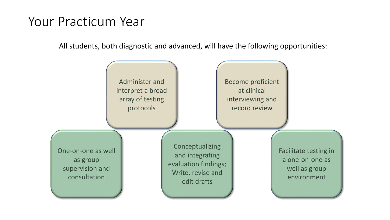### Your Practicum Year

All students, both diagnostic and advanced, will have the following opportunities:

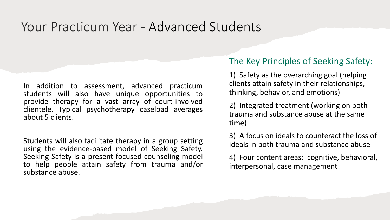### Your Practicum Year - Advanced Students

In addition to assessment, advanced practicum students will also have unique opportunities to provide therapy for a vast array of court-involved clientele. Typical psychotherapy caseload averages about 5 clients.

Students will also facilitate therapy in a group setting using the evidence-based model of Seeking Safety. Seeking Safety is a present-focused counseling model to help people attain safety from trauma and/or substance abuse.

#### The Key Principles of Seeking Safety:

1) Safety as the overarching goal (helping clients attain safety in their relationships, thinking, behavior, and emotions)

2) Integrated treatment (working on both trauma and substance abuse at the same time)

3) A focus on ideals to counteract the loss of ideals in both trauma and substance abuse

4) Four content areas: cognitive, behavioral, interpersonal, case management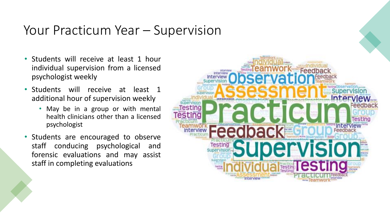### Your Practicum Year – Supervision

- Students will receive at least 1 hour individual supervision from a licensed psychologist weekly
- Students will receive at least 1 additional hour of supervision weekly
	- May be in a group or with mental health clinicians other than a licensed psychologist
- Students are encouraged to observe staff conducing psychological and forensic evaluations and may assist staff in completing evaluations

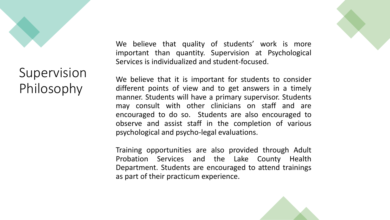

# Supervision Philosophy

We believe that quality of students' work is more important than quantity. Supervision at Psychological Services is individualized and student-focused.

We believe that it is important for students to consider different points of view and to get answers in a timely manner. Students will have a primary supervisor. Students may consult with other clinicians on staff and are encouraged to do so. Students are also encouraged to observe and assist staff in the completion of various psychological and psycho-legal evaluations.

Training opportunities are also provided through Adult Probation Services and the Lake County Health Department. Students are encouraged to attend trainings as part of their practicum experience.

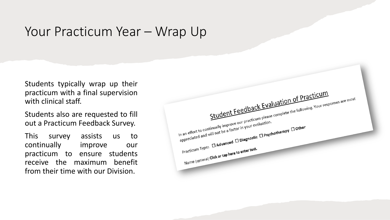#### Your Practicum Year – Wrap Up

Students typically wrap up their practicum with a final supervision with clinical staff.

Students also are requested to fill out a Practicum Feedback Survey.

This survey assists us to continually improve our practicum to ensure students receive the maximum benefit from their time with our Division.

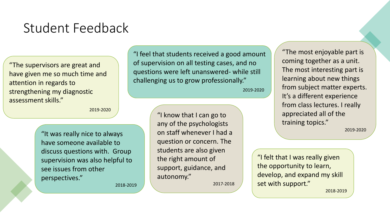# Student Feedback

"The supervisors are great and have given me so much time and attention in regards to strengthening my diagnostic assessment skills."

2019-2020

"It was really nice to always have someone available to discuss questions with. Group supervision was also helpful to see issues from other perspectives."

2018-2019

"I feel that students received a good amount of supervision on all testing cases, and no questions were left unanswered- while still challenging us to grow professionally."

2019-2020

"I know that I can go to any of the psychologists on staff whenever I had a question or concern. The students are also given the right amount of support, guidance, and autonomy."

2017-2018

"The most enjoyable part is coming together as a unit. The most interesting part is learning about new things from subject matter experts. It's a different experience from class lectures. I really appreciated all of the training topics."

2019-2020

"I felt that I was really given the opportunity to learn, develop, and expand my skill set with support."

2018-2019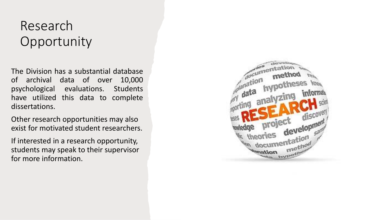## Research Opportunity

The Division has a substantial database of archival data of over 10,000 psychological evaluations. Students have utilized this data to complete dissertations.

Other research opportunities may also exist for motivated student researchers.

If interested in a research opportunity, students may speak to their supervisor for more information.